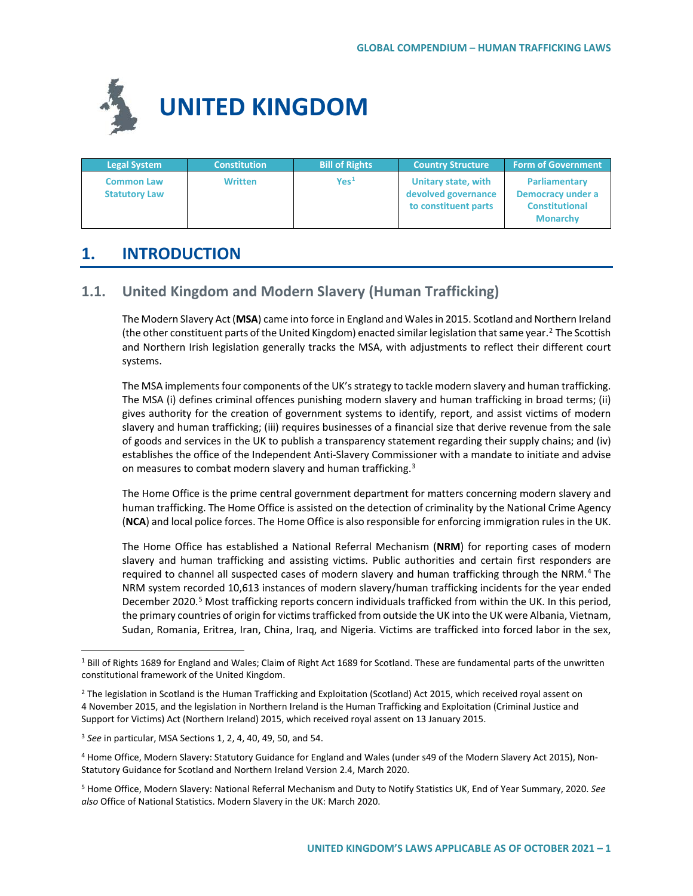

| <b>Legal System</b>                       | <b>Constitution</b> | <b>Bill of Rights</b> | Country Structure                                                  | <b>Form of Government</b>                                                      |
|-------------------------------------------|---------------------|-----------------------|--------------------------------------------------------------------|--------------------------------------------------------------------------------|
| <b>Common Law</b><br><b>Statutory Law</b> | <b>Written</b>      | $\mathsf{Yes}^1$      | Unitary state, with<br>devolved governance<br>to constituent parts | Parliamentary<br>Democracy under a<br><b>Constitutional</b><br><b>Monarchy</b> |

# **1. INTRODUCTION**

# **1.1. United Kingdom and Modern Slavery (Human Trafficking)**

The Modern Slavery Act (**MSA**) came into force in England and Wales in 2015. Scotland and Northern Ireland (the other constituent parts of the United Kingdom) enacted similar legislation that same year.<sup>[2](#page-0-1)</sup> The Scottish and Northern Irish legislation generally tracks the MSA, with adjustments to reflect their different court systems.

The MSA implements four components of the UK's strategy to tackle modern slavery and human trafficking. The MSA (i) defines criminal offences punishing modern slavery and human trafficking in broad terms; (ii) gives authority for the creation of government systems to identify, report, and assist victims of modern slavery and human trafficking; (iii) requires businesses of a financial size that derive revenue from the sale of goods and services in the UK to publish a transparency statement regarding their supply chains; and (iv) establishes the office of the Independent Anti-Slavery Commissioner with a mandate to initiate and advise on measures to combat modern slavery and human trafficking.<sup>[3](#page-0-2)</sup>

The Home Office is the prime central government department for matters concerning modern slavery and human trafficking. The Home Office is assisted on the detection of criminality by the National Crime Agency (**NCA**) and local police forces. The Home Office is also responsible for enforcing immigration rules in the UK.

The Home Office has established a National Referral Mechanism (**NRM**) for reporting cases of modern slavery and human trafficking and assisting victims. Public authorities and certain first responders are required to channel all suspected cases of modern slavery and human trafficking through the NRM.<sup>[4](#page-0-3)</sup> The NRM system recorded 10,613 instances of modern slavery/human trafficking incidents for the year ended December 2020.<sup>[5](#page-0-4)</sup> Most trafficking reports concern individuals trafficked from within the UK. In this period, the primary countries of origin for victims trafficked from outside the UK into the UK were Albania, Vietnam, Sudan, Romania, Eritrea, Iran, China, Iraq, and Nigeria. Victims are trafficked into forced labor in the sex,

<span id="page-0-0"></span><sup>&</sup>lt;sup>1</sup> Bill of Rights 1689 for England and Wales; Claim of Right Act 1689 for Scotland. These are fundamental parts of the unwritten constitutional framework of the United Kingdom.

<span id="page-0-1"></span><sup>&</sup>lt;sup>2</sup> The legislation in Scotland is the Human Trafficking and Exploitation (Scotland) Act 2015, which received royal assent on 4 November 2015, and the legislation in Northern Ireland is the Human Trafficking and Exploitation (Criminal Justice and Support for Victims) Act (Northern Ireland) 2015, which received royal assent on 13 January 2015.

<span id="page-0-2"></span><sup>3</sup> *See* in particular, MSA Sections 1, 2, 4, 40, 49, 50, and 54.

<span id="page-0-3"></span><sup>4</sup> Home Office, Modern Slavery: Statutory Guidance for England and Wales (under s49 of the Modern Slavery Act 2015), Non-Statutory Guidance for Scotland and Northern Ireland Version 2.4, March 2020.

<span id="page-0-4"></span><sup>5</sup> Home Office, Modern Slavery: National Referral Mechanism and Duty to Notify Statistics UK, End of Year Summary, 2020. *See also* Office of National Statistics. Modern Slavery in the UK: March 2020.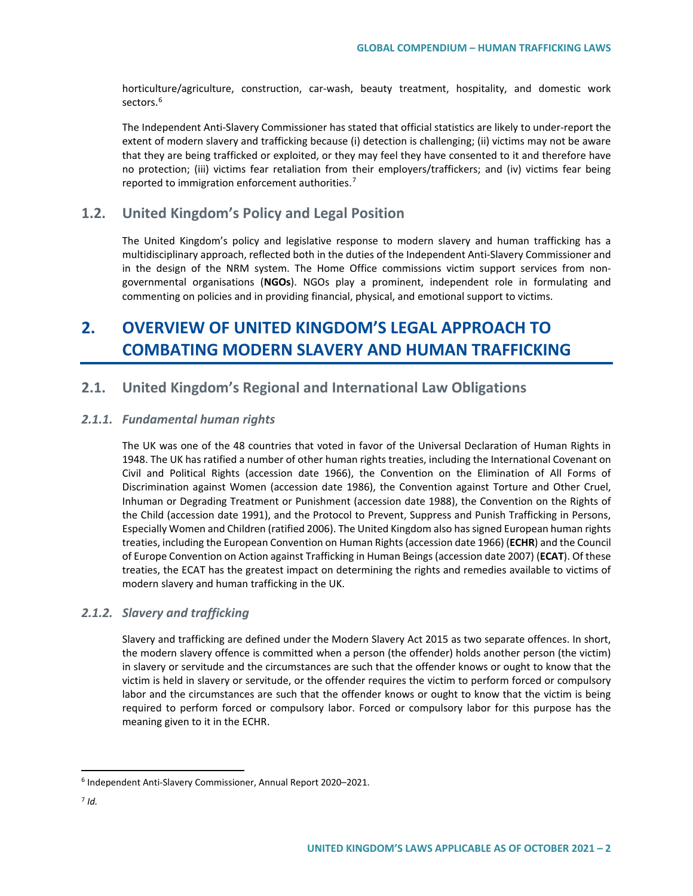horticulture/agriculture, construction, car-wash, beauty treatment, hospitality, and domestic work sectors.<sup>[6](#page-1-0)</sup>

The Independent Anti-Slavery Commissioner has stated that official statistics are likely to under-report the extent of modern slavery and trafficking because (i) detection is challenging; (ii) victims may not be aware that they are being trafficked or exploited, or they may feel they have consented to it and therefore have no protection; (iii) victims fear retaliation from their employers/traffickers; and (iv) victims fear being reported to immigration enforcement authorities.<sup>[7](#page-1-1)</sup>

## **1.2. United Kingdom's Policy and Legal Position**

The United Kingdom's policy and legislative response to modern slavery and human trafficking has a multidisciplinary approach, reflected both in the duties of the Independent Anti-Slavery Commissioner and in the design of the NRM system. The Home Office commissions victim support services from nongovernmental organisations (**NGOs**). NGOs play a prominent, independent role in formulating and commenting on policies and in providing financial, physical, and emotional support to victims.

# **2. OVERVIEW OF UNITED KINGDOM'S LEGAL APPROACH TO COMBATING MODERN SLAVERY AND HUMAN TRAFFICKING**

# **2.1. United Kingdom's Regional and International Law Obligations**

## *2.1.1. Fundamental human rights*

The UK was one of the 48 countries that voted in favor of the Universal Declaration of Human Rights in 1948. The UK has ratified a number of other human rights treaties, including the International Covenant on Civil and Political Rights (accession date 1966), the Convention on the Elimination of All Forms of Discrimination against Women (accession date 1986), the Convention against Torture and Other Cruel, Inhuman or Degrading Treatment or Punishment (accession date 1988), the Convention on the Rights of the Child (accession date 1991), and the Protocol to Prevent, Suppress and Punish Trafficking in Persons, Especially Women and Children (ratified 2006). The United Kingdom also has signed European human rights treaties, including the European Convention on Human Rights (accession date 1966) (**ECHR**) and the Council of Europe Convention on Action against Trafficking in Human Beings (accession date 2007) (**ECAT**). Of these treaties, the ECAT has the greatest impact on determining the rights and remedies available to victims of modern slavery and human trafficking in the UK.

## *2.1.2. Slavery and trafficking*

Slavery and trafficking are defined under the Modern Slavery Act 2015 as two separate offences. In short, the modern slavery offence is committed when a person (the offender) holds another person (the victim) in slavery or servitude and the circumstances are such that the offender knows or ought to know that the victim is held in slavery or servitude, or the offender requires the victim to perform forced or compulsory labor and the circumstances are such that the offender knows or ought to know that the victim is being required to perform forced or compulsory labor. Forced or compulsory labor for this purpose has the meaning given to it in the ECHR.

<span id="page-1-0"></span> <sup>6</sup> Independent Anti-Slavery Commissioner, Annual Report 2020–2021.

<span id="page-1-1"></span> $7$   $Id.$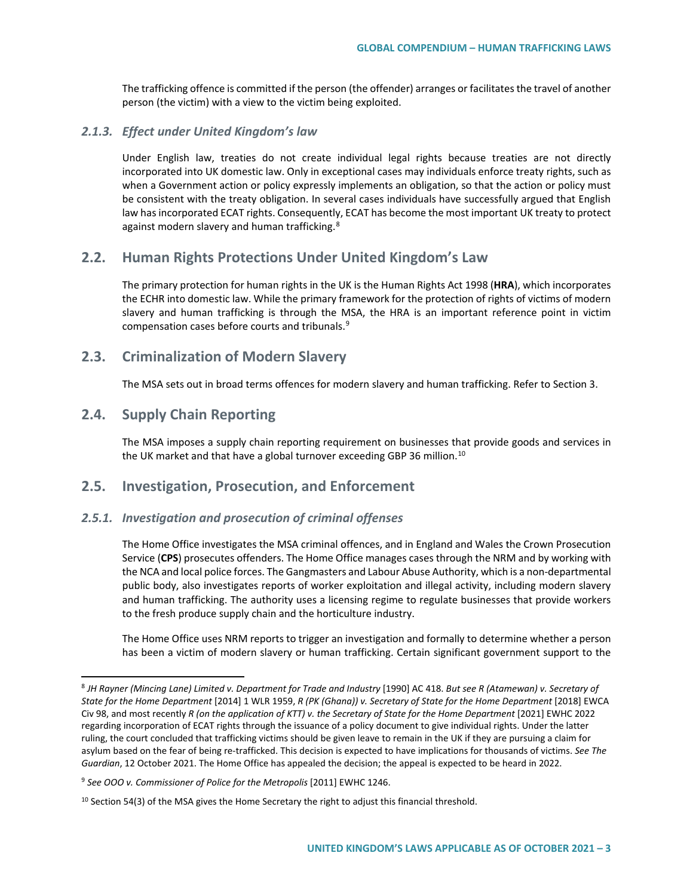The trafficking offence is committed if the person (the offender) arranges or facilitates the travel of another person (the victim) with a view to the victim being exploited.

### *2.1.3. Effect under United Kingdom's law*

Under English law, treaties do not create individual legal rights because treaties are not directly incorporated into UK domestic law. Only in exceptional cases may individuals enforce treaty rights, such as when a Government action or policy expressly implements an obligation, so that the action or policy must be consistent with the treaty obligation. In several cases individuals have successfully argued that English law has incorporated ECAT rights. Consequently, ECAT has become the most important UK treaty to protect against modern slavery and human trafficking.<sup>[8](#page-2-0)</sup>

# **2.2. Human Rights Protections Under United Kingdom's Law**

The primary protection for human rights in the UK is the Human Rights Act 1998 (**HRA**), which incorporates the ECHR into domestic law. While the primary framework for the protection of rights of victims of modern slavery and human trafficking is through the MSA, the HRA is an important reference point in victim compensation cases before courts and tribunals.[9](#page-2-1)

## **2.3. Criminalization of Modern Slavery**

The MSA sets out in broad terms offences for modern slavery and human trafficking. Refer to Section 3.

# **2.4. Supply Chain Reporting**

The MSA imposes a supply chain reporting requirement on businesses that provide goods and services in the UK market and that have a global turnover exceeding GBP 36 million.<sup>[10](#page-2-2)</sup>

# **2.5. Investigation, Prosecution, and Enforcement**

## *2.5.1. Investigation and prosecution of criminal offenses*

The Home Office investigates the MSA criminal offences, and in England and Wales the Crown Prosecution Service (**CPS**) prosecutes offenders. The Home Office manages cases through the NRM and by working with the NCA and local police forces. The Gangmasters and Labour Abuse Authority, which is a non-departmental public body, also investigates reports of worker exploitation and illegal activity, including modern slavery and human trafficking. The authority uses a licensing regime to regulate businesses that provide workers to the fresh produce supply chain and the horticulture industry.

The Home Office uses NRM reports to trigger an investigation and formally to determine whether a person has been a victim of modern slavery or human trafficking. Certain significant government support to the

<span id="page-2-0"></span> <sup>8</sup> *JH Rayner (Mincing Lane) Limited v. Department for Trade and Industry* [1990] AC 418. *But see R (Atamewan) v. Secretary of State for the Home Department* [2014] 1 WLR 1959, *R (PK (Ghana)) v. Secretary of State for the Home Department* [2018] EWCA Civ 98, and most recently *R (on the application of KTT) v. the Secretary of State for the Home Department* [2021] EWHC 2022 regarding incorporation of ECAT rights through the issuance of a policy document to give individual rights. Under the latter ruling, the court concluded that trafficking victims should be given leave to remain in the UK if they are pursuing a claim for asylum based on the fear of being re-trafficked. This decision is expected to have implications for thousands of victims. *See The Guardian*, 12 October 2021. The Home Office has appealed the decision; the appeal is expected to be heard in 2022.

<span id="page-2-1"></span><sup>9</sup> *See OOO v. Commissioner of Police for the Metropolis* [2011] EWHC 1246.

<span id="page-2-2"></span> $10$  Section 54(3) of the MSA gives the Home Secretary the right to adjust this financial threshold.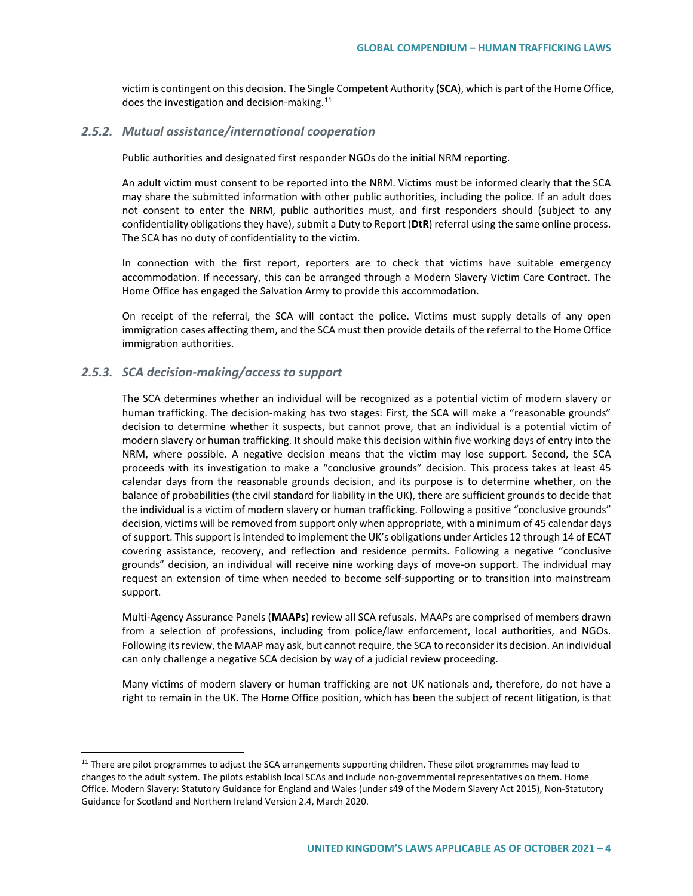victim is contingent on this decision. The Single Competent Authority (**SCA**), which is part of the Home Office, does the investigation and decision-making. $11$ 

### *2.5.2. Mutual assistance/international cooperation*

Public authorities and designated first responder NGOs do the initial NRM reporting.

An adult victim must consent to be reported into the NRM. Victims must be informed clearly that the SCA may share the submitted information with other public authorities, including the police. If an adult does not consent to enter the NRM, public authorities must, and first responders should (subject to any confidentiality obligations they have), submit a Duty to Report (**DtR**) referral using the same online process. The SCA has no duty of confidentiality to the victim.

In connection with the first report, reporters are to check that victims have suitable emergency accommodation. If necessary, this can be arranged through a Modern Slavery Victim Care Contract. The Home Office has engaged the Salvation Army to provide this accommodation.

On receipt of the referral, the SCA will contact the police. Victims must supply details of any open immigration cases affecting them, and the SCA must then provide details of the referral to the Home Office immigration authorities.

## *2.5.3. SCA decision-making/access to support*

The SCA determines whether an individual will be recognized as a potential victim of modern slavery or human trafficking. The decision-making has two stages: First, the SCA will make a "reasonable grounds" decision to determine whether it suspects, but cannot prove, that an individual is a potential victim of modern slavery or human trafficking. It should make this decision within five working days of entry into the NRM, where possible. A negative decision means that the victim may lose support. Second, the SCA proceeds with its investigation to make a "conclusive grounds" decision. This process takes at least 45 calendar days from the reasonable grounds decision, and its purpose is to determine whether, on the balance of probabilities (the civil standard for liability in the UK), there are sufficient grounds to decide that the individual is a victim of modern slavery or human trafficking. Following a positive "conclusive grounds" decision, victims will be removed from support only when appropriate, with a minimum of 45 calendar days of support. This support is intended to implement the UK's obligations under Articles 12 through 14 of ECAT covering assistance, recovery, and reflection and residence permits. Following a negative "conclusive grounds" decision, an individual will receive nine working days of move-on support. The individual may request an extension of time when needed to become self-supporting or to transition into mainstream support.

Multi-Agency Assurance Panels (**MAAPs**) review all SCA refusals. MAAPs are comprised of members drawn from a selection of professions, including from police/law enforcement, local authorities, and NGOs. Following its review, the MAAP may ask, but cannot require, the SCA to reconsider its decision. An individual can only challenge a negative SCA decision by way of a judicial review proceeding.

Many victims of modern slavery or human trafficking are not UK nationals and, therefore, do not have a right to remain in the UK. The Home Office position, which has been the subject of recent litigation, is that

<span id="page-3-0"></span> $11$  There are pilot programmes to adjust the SCA arrangements supporting children. These pilot programmes may lead to changes to the adult system. The pilots establish local SCAs and include non-governmental representatives on them. Home Office. Modern Slavery: Statutory Guidance for England and Wales (under s49 of the Modern Slavery Act 2015), Non-Statutory Guidance for Scotland and Northern Ireland Version 2.4, March 2020.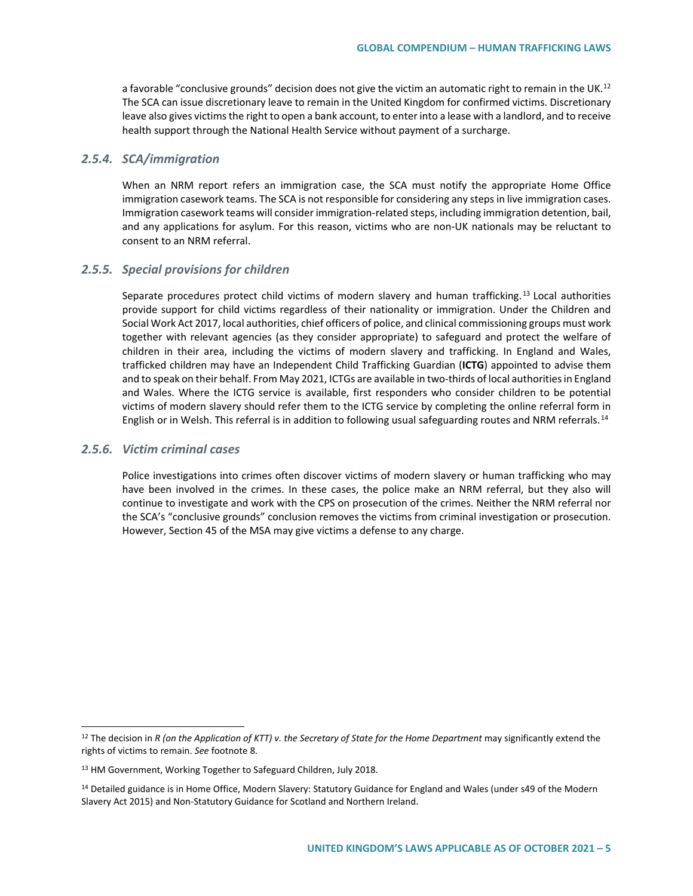a favorable "conclusive grounds" decision does not give the victim an automatic right to remain in the UK.<sup>[12](#page-4-0)</sup> The SCA can issue discretionary leave to remain in the United Kingdom for confirmed victims. Discretionary leave also gives victims the right to open a bank account, to enter into a lease with a landlord, and to receive health support through the National Health Service without payment of a surcharge.

### *2.5.4. SCA/immigration*

When an NRM report refers an immigration case, the SCA must notify the appropriate Home Office immigration casework teams. The SCA is not responsible for considering any steps in live immigration cases. Immigration casework teams will consider immigration-related steps, including immigration detention, bail, and any applications for asylum. For this reason, victims who are non-UK nationals may be reluctant to consent to an NRM referral.

## *2.5.5. Special provisions for children*

Separate procedures protect child victims of modern slavery and human trafficking.<sup>[13](#page-4-1)</sup> Local authorities provide support for child victims regardless of their nationality or immigration. Under the Children and Social Work Act 2017, local authorities, chief officers of police, and clinical commissioning groups must work together with relevant agencies (as they consider appropriate) to safeguard and protect the welfare of children in their area, including the victims of modern slavery and trafficking. In England and Wales, trafficked children may have an Independent Child Trafficking Guardian (**ICTG**) appointed to advise them and to speak on their behalf. From May 2021, ICTGs are available in two-thirds of local authorities in England and Wales. Where the ICTG service is available, first responders who consider children to be potential victims of modern slavery should refer them to the ICTG service by completing the online referral form in English or in Welsh. This referral is in addition to following usual safeguarding routes and NRM referrals.<sup>[14](#page-4-2)</sup>

## *2.5.6. Victim criminal cases*

Police investigations into crimes often discover victims of modern slavery or human trafficking who may have been involved in the crimes. In these cases, the police make an NRM referral, but they also will continue to investigate and work with the CPS on prosecution of the crimes. Neither the NRM referral nor the SCA's "conclusive grounds" conclusion removes the victims from criminal investigation or prosecution. However, Section 45 of the MSA may give victims a defense to any charge.

<span id="page-4-0"></span><sup>&</sup>lt;sup>12</sup> The decision in *R* (on the Application of KTT) v. the Secretary of State for the Home Department may significantly extend the rights of victims to remain. *See* footnote 8.

<span id="page-4-1"></span><sup>&</sup>lt;sup>13</sup> HM Government, Working Together to Safeguard Children, July 2018.

<span id="page-4-2"></span><sup>&</sup>lt;sup>14</sup> Detailed guidance is in Home Office, Modern Slavery: Statutory Guidance for England and Wales (under s49 of the Modern Slavery Act 2015) and Non-Statutory Guidance for Scotland and Northern Ireland.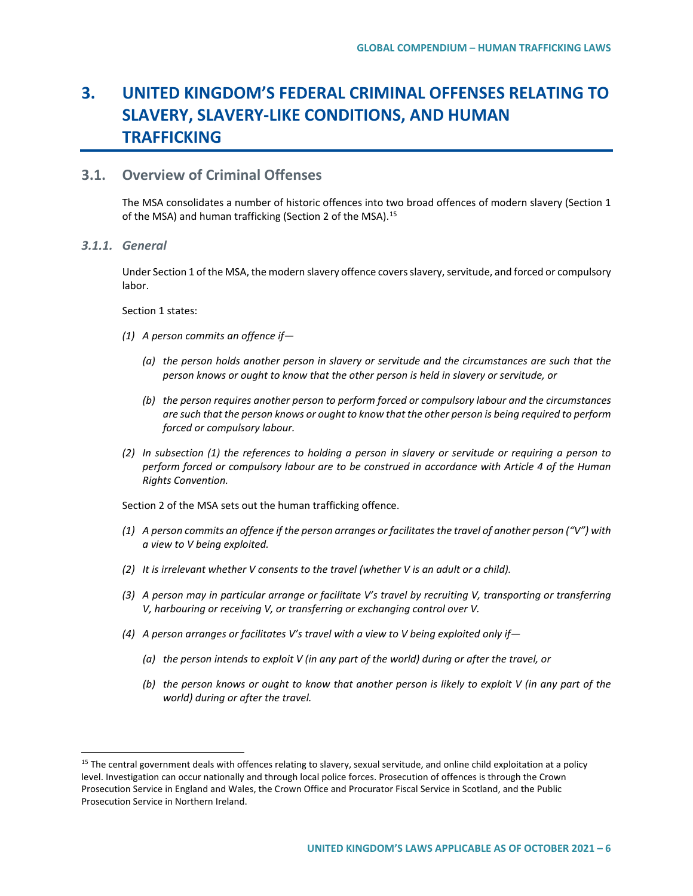# **3. UNITED KINGDOM'S FEDERAL CRIMINAL OFFENSES RELATING TO SLAVERY, SLAVERY-LIKE CONDITIONS, AND HUMAN TRAFFICKING**

# **3.1. Overview of Criminal Offenses**

The MSA consolidates a number of historic offences into two broad offences of modern slavery (Section 1 of the MSA) and human trafficking (Section 2 of the MSA).<sup>[15](#page-5-0)</sup>

*3.1.1. General*

Under Section 1 of the MSA, the modern slavery offence covers slavery, servitude, and forced or compulsory labor.

Section 1 states:

- *(1) A person commits an offence if—*
	- *(a) the person holds another person in slavery or servitude and the circumstances are such that the person knows or ought to know that the other person is held in slavery or servitude, or*
	- *(b) the person requires another person to perform forced or compulsory labour and the circumstances are such that the person knows or ought to know that the other person is being required to perform forced or compulsory labour.*
- *(2) In subsection (1) the references to holding a person in slavery or servitude or requiring a person to perform forced or compulsory labour are to be construed in accordance with Article 4 of the Human Rights Convention.*

Section 2 of the MSA sets out the human trafficking offence.

- *(1) A person commits an offence if the person arranges or facilitates the travel of another person ("V") with a view to V being exploited.*
- *(2) It is irrelevant whether V consents to the travel (whether V is an adult or a child).*
- *(3) A person may in particular arrange or facilitate V's travel by recruiting V, transporting or transferring V, harbouring or receiving V, or transferring or exchanging control over V.*
- *(4) A person arranges or facilitates V's travel with a view to V being exploited only if—*
	- *(a) the person intends to exploit V (in any part of the world) during or after the travel, or*
	- *(b) the person knows or ought to know that another person is likely to exploit V (in any part of the world) during or after the travel.*

<span id="page-5-0"></span><sup>&</sup>lt;sup>15</sup> The central government deals with offences relating to slavery, sexual servitude, and online child exploitation at a policy level. Investigation can occur nationally and through local police forces. Prosecution of offences is through the Crown Prosecution Service in England and Wales, the Crown Office and Procurator Fiscal Service in Scotland, and the Public Prosecution Service in Northern Ireland.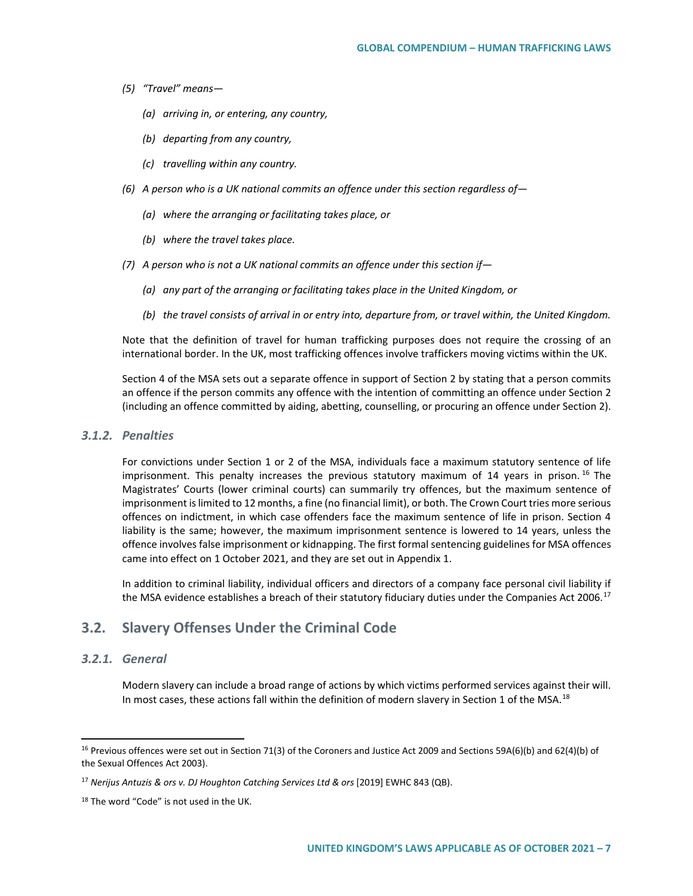- *(5) "Travel" means—*
	- *(a) arriving in, or entering, any country,*
	- *(b) departing from any country,*
	- *(c) travelling within any country.*
- *(6) A person who is a UK national commits an offence under this section regardless of—*
	- *(a) where the arranging or facilitating takes place, or*
	- *(b) where the travel takes place.*
- *(7) A person who is not a UK national commits an offence under this section if—*
	- *(a) any part of the arranging or facilitating takes place in the United Kingdom, or*
	- *(b) the travel consists of arrival in or entry into, departure from, or travel within, the United Kingdom.*

Note that the definition of travel for human trafficking purposes does not require the crossing of an international border. In the UK, most trafficking offences involve traffickers moving victims within the UK.

Section 4 of the MSA sets out a separate offence in support of Section 2 by stating that a person commits an offence if the person commits any offence with the intention of committing an offence under Section 2 (including an offence committed by aiding, abetting, counselling, or procuring an offence under Section 2).

## *3.1.2. Penalties*

For convictions under Section 1 or 2 of the MSA, individuals face a maximum statutory sentence of life imprisonment. This penalty increases the previous statutory maximum of 14 years in prison.<sup>[16](#page-6-0)</sup> The Magistrates' Courts (lower criminal courts) can summarily try offences, but the maximum sentence of imprisonment is limited to 12 months, a fine (no financial limit), or both. The Crown Court tries more serious offences on indictment, in which case offenders face the maximum sentence of life in prison. Section 4 liability is the same; however, the maximum imprisonment sentence is lowered to 14 years, unless the offence involves false imprisonment or kidnapping. The first formal sentencing guidelines for MSA offences came into effect on 1 October 2021, and they are set out in Appendix 1.

In addition to criminal liability, individual officers and directors of a company face personal civil liability if the MSA evidence establishes a breach of their statutory fiduciary duties under the Companies Act 2006.<sup>[17](#page-6-1)</sup>

# **3.2. Slavery Offenses Under the Criminal Code**

## *3.2.1. General*

Modern slavery can include a broad range of actions by which victims performed services against their will. In most cases, these actions fall within the definition of modern slavery in Section 1 of the MSA.<sup>[18](#page-6-2)</sup>

<span id="page-6-0"></span><sup>&</sup>lt;sup>16</sup> Previous offences were set out in Section 71(3) of the Coroners and Justice Act 2009 and Sections 59A(6)(b) and 62(4)(b) of the Sexual Offences Act 2003).

<span id="page-6-1"></span><sup>17</sup> *Nerijus Antuzis & ors v. DJ Houghton Catching Services Ltd & ors* [2019] EWHC 843 (QB).

<span id="page-6-2"></span><sup>&</sup>lt;sup>18</sup> The word "Code" is not used in the UK.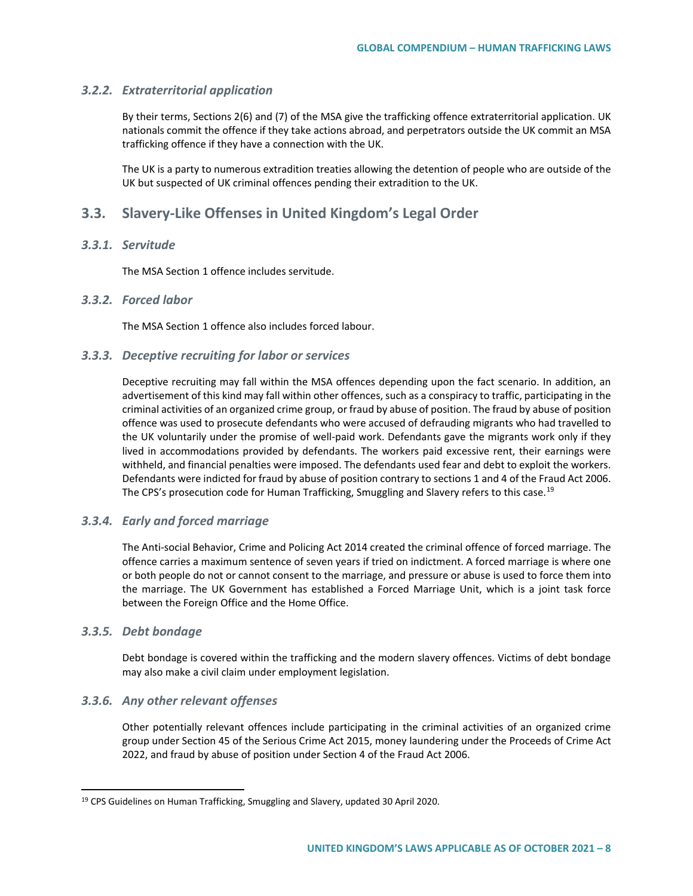## *3.2.2. Extraterritorial application*

By their terms, Sections 2(6) and (7) of the MSA give the trafficking offence extraterritorial application. UK nationals commit the offence if they take actions abroad, and perpetrators outside the UK commit an MSA trafficking offence if they have a connection with the UK.

The UK is a party to numerous extradition treaties allowing the detention of people who are outside of the UK but suspected of UK criminal offences pending their extradition to the UK.

# **3.3. Slavery-Like Offenses in United Kingdom's Legal Order**

## *3.3.1. Servitude*

The MSA Section 1 offence includes servitude.

## *3.3.2. Forced labor*

The MSA Section 1 offence also includes forced labour.

### *3.3.3. Deceptive recruiting for labor or services*

Deceptive recruiting may fall within the MSA offences depending upon the fact scenario. In addition, an advertisement of this kind may fall within other offences, such as a conspiracy to traffic, participating in the criminal activities of an organized crime group, or fraud by abuse of position. The fraud by abuse of position offence was used to prosecute defendants who were accused of defrauding migrants who had travelled to the UK voluntarily under the promise of well-paid work. Defendants gave the migrants work only if they lived in accommodations provided by defendants. The workers paid excessive rent, their earnings were withheld, and financial penalties were imposed. The defendants used fear and debt to exploit the workers. Defendants were indicted for fraud by abuse of position contrary to sections 1 and 4 of the Fraud Act 2006. The CPS's prosecution code for Human Trafficking, Smuggling and Slavery refers to this case.<sup>[19](#page-7-0)</sup>

### *3.3.4. Early and forced marriage*

The Anti-social Behavior, Crime and Policing Act 2014 created the criminal offence of forced marriage. The offence carries a maximum sentence of seven years if tried on indictment. A forced marriage is where one or both people do not or cannot consent to the marriage, and pressure or abuse is used to force them into the marriage. The UK Government has established a Forced Marriage Unit, which is a joint task force between the Foreign Office and the Home Office.

### *3.3.5. Debt bondage*

Debt bondage is covered within the trafficking and the modern slavery offences. Victims of debt bondage may also make a civil claim under employment legislation.

### *3.3.6. Any other relevant offenses*

Other potentially relevant offences include participating in the criminal activities of an organized crime group under Section 45 of the Serious Crime Act 2015, money laundering under the Proceeds of Crime Act 2022, and fraud by abuse of position under Section 4 of the Fraud Act 2006.

<span id="page-7-0"></span><sup>&</sup>lt;sup>19</sup> CPS Guidelines on Human Trafficking, Smuggling and Slavery, updated 30 April 2020.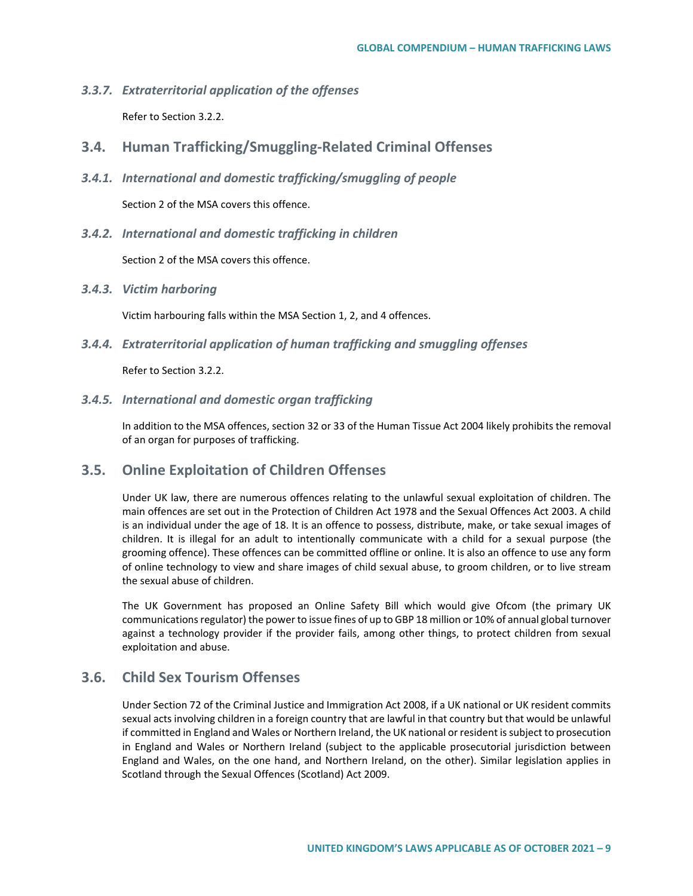- *3.3.7. Extraterritorial application of the offenses* Refer to Section 3.2.2.
- **3.4. Human Trafficking/Smuggling-Related Criminal Offenses**
- *3.4.1. International and domestic trafficking/smuggling of people*

Section 2 of the MSA covers this offence.

*3.4.2. International and domestic trafficking in children*

Section 2 of the MSA covers this offence.

*3.4.3. Victim harboring*

Victim harbouring falls within the MSA Section 1, 2, and 4 offences.

*3.4.4. Extraterritorial application of human trafficking and smuggling offenses*

Refer to Section 3.2.2.

*3.4.5. International and domestic organ trafficking*

In addition to the MSA offences, section 32 or 33 of the Human Tissue Act 2004 likely prohibits the removal of an organ for purposes of trafficking.

# **3.5. Online Exploitation of Children Offenses**

Under UK law, there are numerous offences relating to the unlawful sexual exploitation of children. The main offences are set out in the Protection of Children Act 1978 and the Sexual Offences Act 2003. A child is an individual under the age of 18. It is an offence to possess, distribute, make, or take sexual images of children. It is illegal for an adult to intentionally communicate with a child for a sexual purpose (the grooming offence). These offences can be committed offline or online. It is also an offence to use any form of online technology to view and share images of child sexual abuse, to groom children, or to live stream the sexual abuse of children.

The UK Government has proposed an Online Safety Bill which would give Ofcom (the primary UK communications regulator) the power to issue fines of up to GBP 18 million or 10% of annual global turnover against a technology provider if the provider fails, among other things, to protect children from sexual exploitation and abuse.

# **3.6. Child Sex Tourism Offenses**

Under Section 72 of the Criminal Justice and Immigration Act 2008, if a UK national or UK resident commits sexual acts involving children in a foreign country that are lawful in that country but that would be unlawful if committed in England and Wales or Northern Ireland, the UK national or resident is subject to prosecution in England and Wales or Northern Ireland (subject to the applicable prosecutorial jurisdiction between England and Wales, on the one hand, and Northern Ireland, on the other). Similar legislation applies in Scotland through the Sexual Offences (Scotland) Act 2009.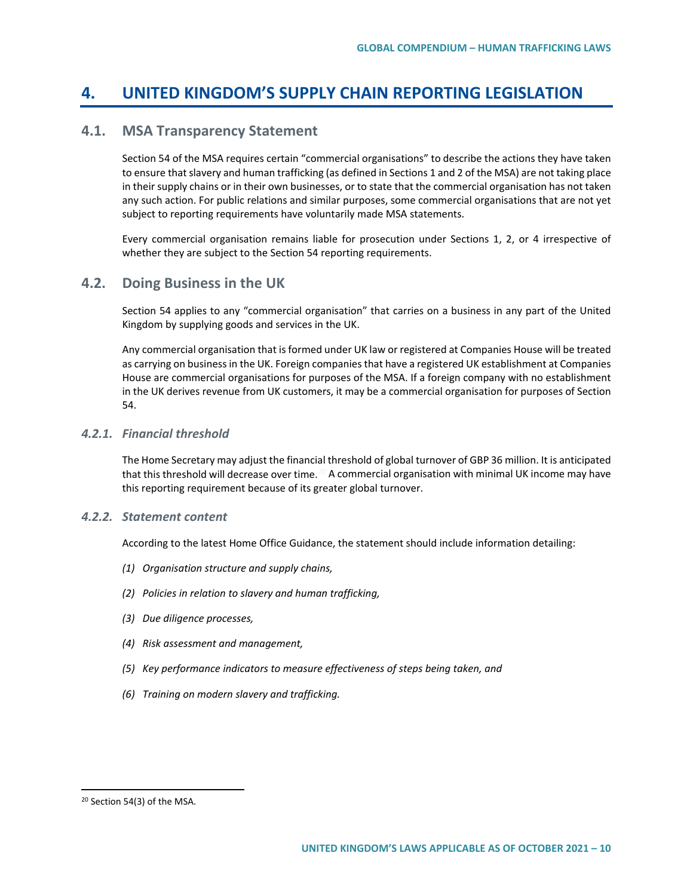# **4. UNITED KINGDOM'S SUPPLY CHAIN REPORTING LEGISLATION**

# **4.1. MSA Transparency Statement**

Section 54 of the MSA requires certain "commercial organisations" to describe the actions they have taken to ensure that slavery and human trafficking (as defined in Sections 1 and 2 of the MSA) are not taking place in their supply chains or in their own businesses, or to state that the commercial organisation has not taken any such action. For public relations and similar purposes, some commercial organisations that are not yet subject to reporting requirements have voluntarily made MSA statements.

Every commercial organisation remains liable for prosecution under Sections 1, 2, or 4 irrespective of whether they are subject to the Section 54 reporting requirements.

## **4.2. Doing Business in the UK**

Section 54 applies to any "commercial organisation" that carries on a business in any part of the United Kingdom by supplying goods and services in the UK.

Any commercial organisation that is formed under UK law or registered at Companies House will be treated as carrying on business in the UK. Foreign companies that have a registered UK establishment at Companies House are commercial organisations for purposes of the MSA. If a foreign company with no establishment in the UK derives revenue from UK customers, it may be a commercial organisation for purposes of Section 54.

## *4.2.1. Financial threshold*

The Home Secretary may adjust the financial threshold of global turnover of GBP 36 million. It is anticipated that this threshold will decrease over time.<sup>[20](#page-9-0)</sup> A commercial organisation with minimal UK income may have this reporting requirement because of its greater global turnover.

### *4.2.2. Statement content*

According to the latest Home Office Guidance, the statement should include information detailing:

- *(1) Organisation structure and supply chains,*
- *(2) Policies in relation to slavery and human trafficking,*
- *(3) Due diligence processes,*
- *(4) Risk assessment and management,*
- *(5) Key performance indicators to measure effectiveness of steps being taken, and*
- *(6) Training on modern slavery and trafficking.*

<span id="page-9-0"></span> <sup>20</sup> Section 54(3) of the MSA.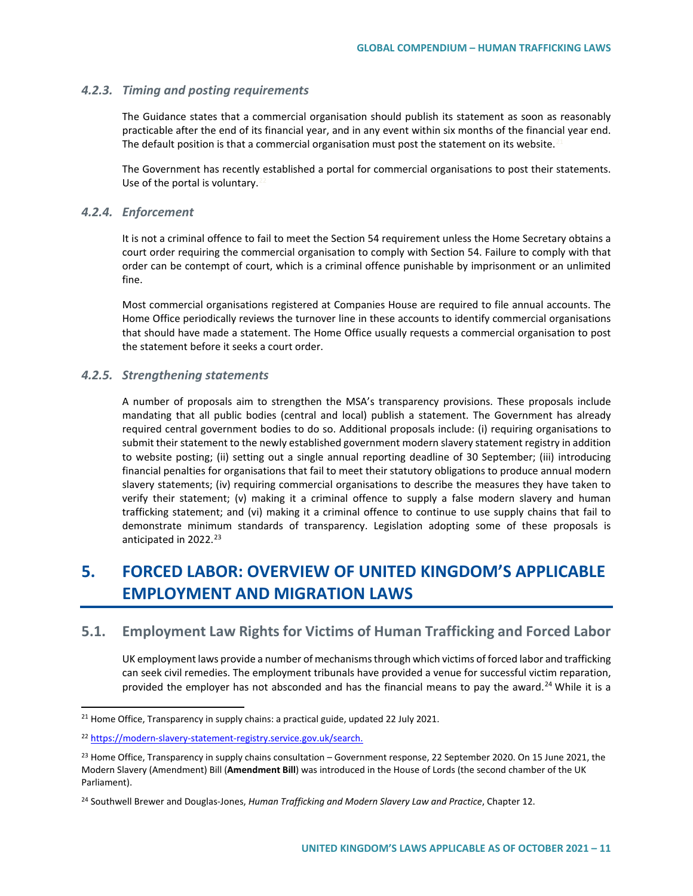## *4.2.3. Timing and posting requirements*

The Guidance states that a commercial organisation should publish its statement as soon as reasonably practicable after the end of its financial year, and in any event within six months of the financial year end. The default position is that a commercial organisation must post the statement on its website.

The Government has recently established a portal for commercial organisations to post their statements. Use of the portal is voluntary.<sup>2</sup>

### *4.2.4. Enforcement*

It is not a criminal offence to fail to meet the Section 54 requirement unless the Home Secretary obtains a court order requiring the commercial organisation to comply with Section 54. Failure to comply with that order can be contempt of court, which is a criminal offence punishable by imprisonment or an unlimited fine.

Most commercial organisations registered at Companies House are required to file annual accounts. The Home Office periodically reviews the turnover line in these accounts to identify commercial organisations that should have made a statement. The Home Office usually requests a commercial organisation to post the statement before it seeks a court order.

### *4.2.5. Strengthening statements*

A number of proposals aim to strengthen the MSA's transparency provisions. These proposals include mandating that all public bodies (central and local) publish a statement. The Government has already required central government bodies to do so. Additional proposals include: (i) requiring organisations to submit their statement to the newly established government modern slavery statement registry in addition to website posting; (ii) setting out a single annual reporting deadline of 30 September; (iii) introducing financial penalties for organisations that fail to meet their statutory obligations to produce annual modern slavery statements; (iv) requiring commercial organisations to describe the measures they have taken to verify their statement; (v) making it a criminal offence to supply a false modern slavery and human trafficking statement; and (vi) making it a criminal offence to continue to use supply chains that fail to demonstrate minimum standards of transparency. Legislation adopting some of these proposals is anticipated in 2022.<sup>[23](#page-10-2)</sup>

# **5. FORCED LABOR: OVERVIEW OF UNITED KINGDOM'S APPLICABLE EMPLOYMENT AND MIGRATION LAWS**

# **5.1. Employment Law Rights for Victims of Human Trafficking and Forced Labor**

UK employment laws provide a number of mechanisms through which victims of forced labor and trafficking can seek civil remedies. The employment tribunals have provided a venue for successful victim reparation, provided the employer has not absconded and has the financial means to pay the award.<sup>[24](#page-10-3)</sup> While it is a

<span id="page-10-0"></span> $21$  Home Office, Transparency in supply chains: a practical guide, updated 22 July 2021.

<span id="page-10-1"></span><sup>22</sup> [https://modern-slavery-statement-registry.service.gov.uk/search.](https://modern-slavery-statement-registry.service.gov.uk/search)

<span id="page-10-2"></span><sup>&</sup>lt;sup>23</sup> Home Office, Transparency in supply chains consultation – Government response, 22 September 2020. On 15 June 2021, the Modern Slavery (Amendment) Bill (**Amendment Bill**) was introduced in the House of Lords (the second chamber of the UK Parliament).

<span id="page-10-3"></span><sup>24</sup> Southwell Brewer and Douglas-Jones, *Human Trafficking and Modern Slavery Law and Practice*, Chapter 12.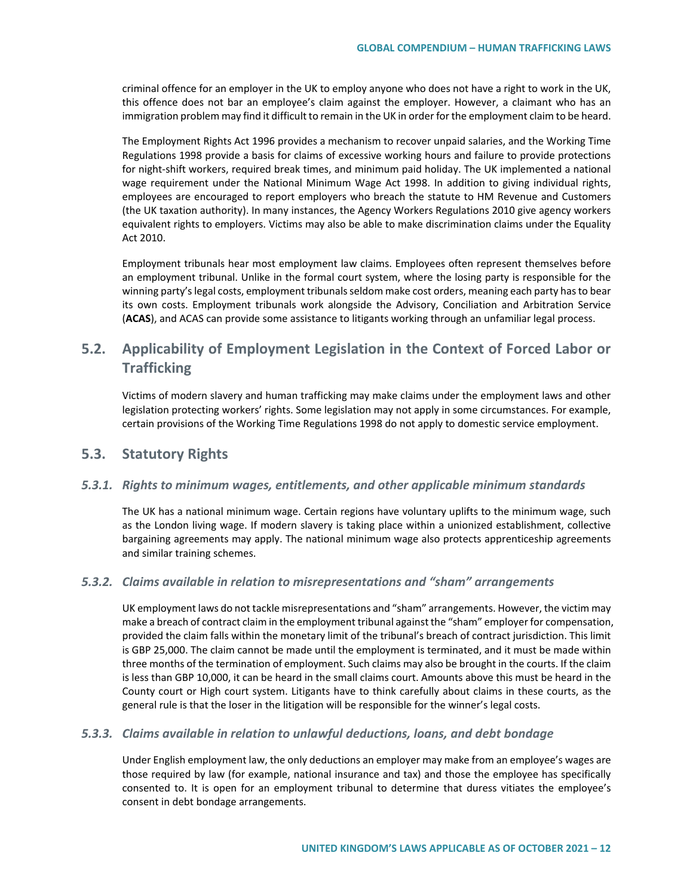criminal offence for an employer in the UK to employ anyone who does not have a right to work in the UK, this offence does not bar an employee's claim against the employer. However, a claimant who has an immigration problem may find it difficult to remain in the UK in order for the employment claim to be heard.

The Employment Rights Act 1996 provides a mechanism to recover unpaid salaries, and the Working Time Regulations 1998 provide a basis for claims of excessive working hours and failure to provide protections for night-shift workers, required break times, and minimum paid holiday. The UK implemented a national wage requirement under the National Minimum Wage Act 1998. In addition to giving individual rights, employees are encouraged to report employers who breach the statute to HM Revenue and Customers (the UK taxation authority). In many instances, the Agency Workers Regulations 2010 give agency workers equivalent rights to employers. Victims may also be able to make discrimination claims under the Equality Act 2010.

Employment tribunals hear most employment law claims. Employees often represent themselves before an employment tribunal. Unlike in the formal court system, where the losing party is responsible for the winning party's legal costs, employment tribunals seldom make cost orders, meaning each party has to bear its own costs. Employment tribunals work alongside the Advisory, Conciliation and Arbitration Service (**ACAS**), and ACAS can provide some assistance to litigants working through an unfamiliar legal process.

# **5.2. Applicability of Employment Legislation in the Context of Forced Labor or Trafficking**

Victims of modern slavery and human trafficking may make claims under the employment laws and other legislation protecting workers' rights. Some legislation may not apply in some circumstances. For example, certain provisions of the Working Time Regulations 1998 do not apply to domestic service employment.

# **5.3. Statutory Rights**

## *5.3.1. Rights to minimum wages, entitlements, and other applicable minimum standards*

The UK has a national minimum wage. Certain regions have voluntary uplifts to the minimum wage, such as the London living wage. If modern slavery is taking place within a unionized establishment, collective bargaining agreements may apply. The national minimum wage also protects apprenticeship agreements and similar training schemes.

### *5.3.2. Claims available in relation to misrepresentations and "sham" arrangements*

UK employment laws do not tackle misrepresentations and "sham" arrangements. However, the victim may make a breach of contract claim in the employment tribunal against the "sham" employer for compensation, provided the claim falls within the monetary limit of the tribunal's breach of contract jurisdiction. This limit is GBP 25,000. The claim cannot be made until the employment is terminated, and it must be made within three months of the termination of employment. Such claims may also be brought in the courts. If the claim is less than GBP 10,000, it can be heard in the small claims court. Amounts above this must be heard in the County court or High court system. Litigants have to think carefully about claims in these courts, as the general rule is that the loser in the litigation will be responsible for the winner's legal costs.

## *5.3.3. Claims available in relation to unlawful deductions, loans, and debt bondage*

Under English employment law, the only deductions an employer may make from an employee's wages are those required by law (for example, national insurance and tax) and those the employee has specifically consented to. It is open for an employment tribunal to determine that duress vitiates the employee's consent in debt bondage arrangements.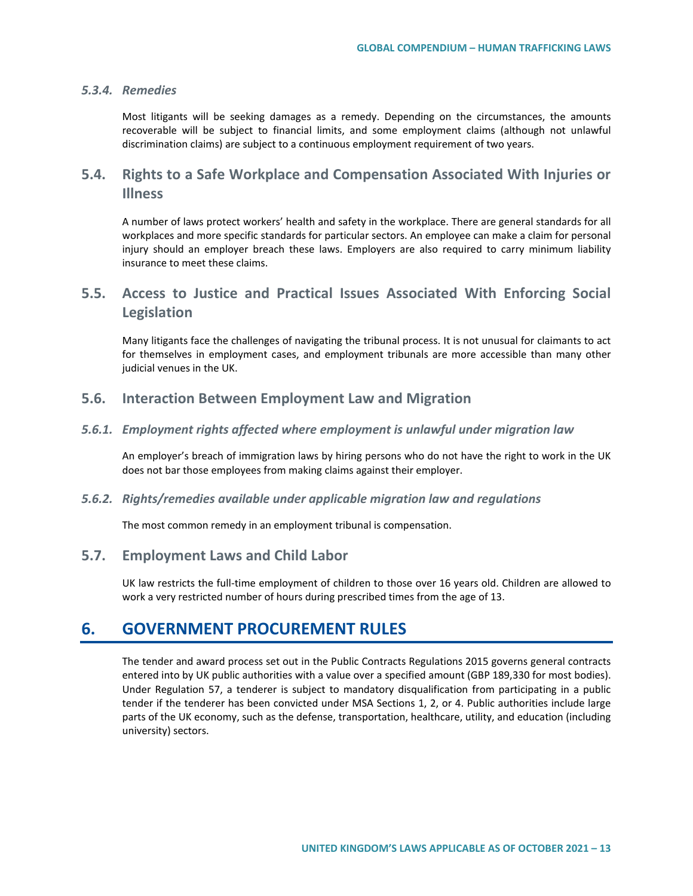## *5.3.4. Remedies*

Most litigants will be seeking damages as a remedy. Depending on the circumstances, the amounts recoverable will be subject to financial limits, and some employment claims (although not unlawful discrimination claims) are subject to a continuous employment requirement of two years.

# **5.4. Rights to a Safe Workplace and Compensation Associated With Injuries or Illness**

A number of laws protect workers' health and safety in the workplace. There are general standards for all workplaces and more specific standards for particular sectors. An employee can make a claim for personal injury should an employer breach these laws. Employers are also required to carry minimum liability insurance to meet these claims.

# **5.5. Access to Justice and Practical Issues Associated With Enforcing Social Legislation**

Many litigants face the challenges of navigating the tribunal process. It is not unusual for claimants to act for themselves in employment cases, and employment tribunals are more accessible than many other judicial venues in the UK.

## **5.6. Interaction Between Employment Law and Migration**

## *5.6.1. Employment rights affected where employment is unlawful under migration law*

An employer's breach of immigration laws by hiring persons who do not have the right to work in the UK does not bar those employees from making claims against their employer.

### *5.6.2. Rights/remedies available under applicable migration law and regulations*

The most common remedy in an employment tribunal is compensation.

## **5.7. Employment Laws and Child Labor**

UK law restricts the full-time employment of children to those over 16 years old. Children are allowed to work a very restricted number of hours during prescribed times from the age of 13.

# **6. GOVERNMENT PROCUREMENT RULES**

The tender and award process set out in the Public Contracts Regulations 2015 governs general contracts entered into by UK public authorities with a value over a specified amount (GBP 189,330 for most bodies). Under Regulation 57, a tenderer is subject to mandatory disqualification from participating in a public tender if the tenderer has been convicted under MSA Sections 1, 2, or 4. Public authorities include large parts of the UK economy, such as the defense, transportation, healthcare, utility, and education (including university) sectors.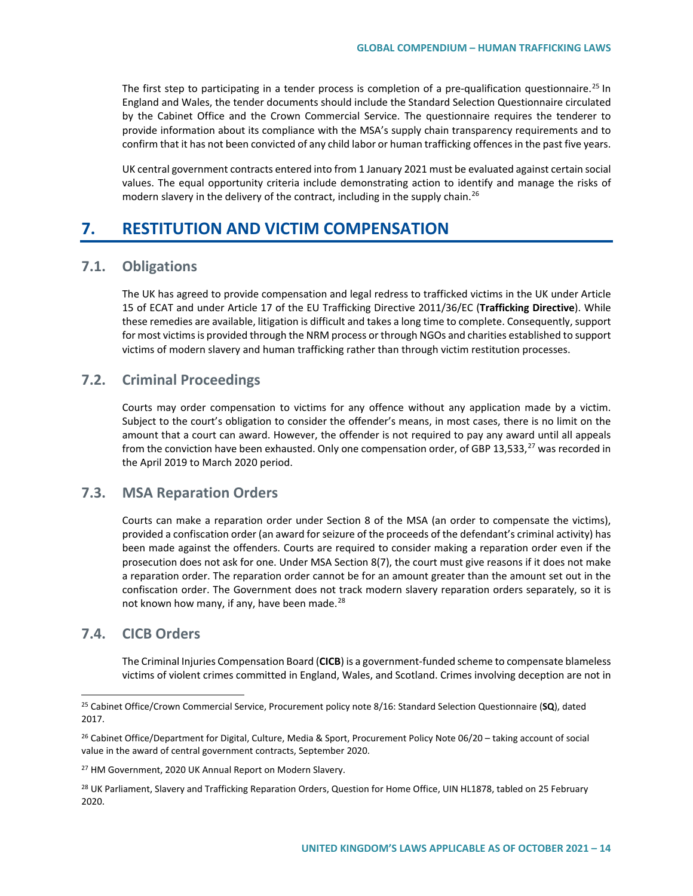The first step to participating in a tender process is completion of a pre-qualification questionnaire.<sup>[25](#page-13-0)</sup> In England and Wales, the tender documents should include the Standard Selection Questionnaire circulated by the Cabinet Office and the Crown Commercial Service. The questionnaire requires the tenderer to provide information about its compliance with the MSA's supply chain transparency requirements and to confirm that it has not been convicted of any child labor or human trafficking offences in the past five years.

UK central government contracts entered into from 1 January 2021 must be evaluated against certain social values. The equal opportunity criteria include demonstrating action to identify and manage the risks of modern slavery in the delivery of the contract, including in the supply chain.<sup>[26](#page-13-1)</sup>

# **7. RESTITUTION AND VICTIM COMPENSATION**

## **7.1. Obligations**

The UK has agreed to provide compensation and legal redress to trafficked victims in the UK under Article 15 of ECAT and under Article 17 of the EU Trafficking Directive 2011/36/EC (**Trafficking Directive**). While these remedies are available, litigation is difficult and takes a long time to complete. Consequently, support for most victims is provided through the NRM process or through NGOs and charities established to support victims of modern slavery and human trafficking rather than through victim restitution processes.

# **7.2. Criminal Proceedings**

Courts may order compensation to victims for any offence without any application made by a victim. Subject to the court's obligation to consider the offender's means, in most cases, there is no limit on the amount that a court can award. However, the offender is not required to pay any award until all appeals from the conviction have been exhausted. Only one compensation order, of GBP 13,533, $^{27}$  $^{27}$  $^{27}$  was recorded in the April 2019 to March 2020 period.

# **7.3. MSA Reparation Orders**

Courts can make a reparation order under Section 8 of the MSA (an order to compensate the victims), provided a confiscation order (an award for seizure of the proceeds of the defendant's criminal activity) has been made against the offenders. Courts are required to consider making a reparation order even if the prosecution does not ask for one. Under MSA Section 8(7), the court must give reasons if it does not make a reparation order. The reparation order cannot be for an amount greater than the amount set out in the confiscation order. The Government does not track modern slavery reparation orders separately, so it is not known how many, if any, have been made.<sup>[28](#page-13-3)</sup>

# **7.4. CICB Orders**

The Criminal Injuries Compensation Board (**CICB**) is a government-funded scheme to compensate blameless victims of violent crimes committed in England, Wales, and Scotland. Crimes involving deception are not in

<span id="page-13-0"></span> <sup>25</sup> Cabinet Office/Crown Commercial Service, Procurement policy note 8/16: Standard Selection Questionnaire (**SQ**), dated 2017.

<span id="page-13-1"></span><sup>&</sup>lt;sup>26</sup> Cabinet Office/Department for Digital, Culture, Media & Sport, Procurement Policy Note 06/20 – taking account of social value in the award of central government contracts, September 2020.

<span id="page-13-2"></span><sup>&</sup>lt;sup>27</sup> HM Government, 2020 UK Annual Report on Modern Slavery.

<span id="page-13-3"></span><sup>&</sup>lt;sup>28</sup> UK Parliament, Slavery and Trafficking Reparation Orders, Question for Home Office, UIN HL1878, tabled on 25 February 2020.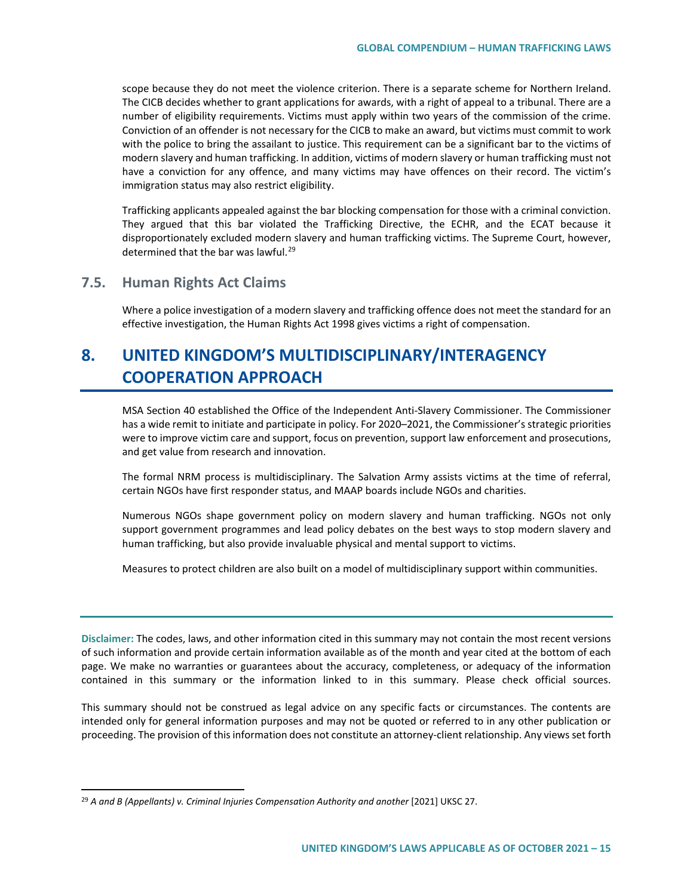scope because they do not meet the violence criterion. There is a separate scheme for Northern Ireland. The CICB decides whether to grant applications for awards, with a right of appeal to a tribunal. There are a number of eligibility requirements. Victims must apply within two years of the commission of the crime. Conviction of an offender is not necessary for the CICB to make an award, but victims must commit to work with the police to bring the assailant to justice. This requirement can be a significant bar to the victims of modern slavery and human trafficking. In addition, victims of modern slavery or human trafficking must not have a conviction for any offence, and many victims may have offences on their record. The victim's immigration status may also restrict eligibility.

Trafficking applicants appealed against the bar blocking compensation for those with a criminal conviction. They argued that this bar violated the Trafficking Directive, the ECHR, and the ECAT because it disproportionately excluded modern slavery and human trafficking victims. The Supreme Court, however, determined that the bar was lawful.<sup>[29](#page-14-0)</sup>

## **7.5. Human Rights Act Claims**

Where a police investigation of a modern slavery and trafficking offence does not meet the standard for an effective investigation, the Human Rights Act 1998 gives victims a right of compensation.

# **8. UNITED KINGDOM'S MULTIDISCIPLINARY/INTERAGENCY COOPERATION APPROACH**

MSA Section 40 established the Office of the Independent Anti-Slavery Commissioner. The Commissioner has a wide remit to initiate and participate in policy. For 2020–2021, the Commissioner's strategic priorities were to improve victim care and support, focus on prevention, support law enforcement and prosecutions, and get value from research and innovation.

The formal NRM process is multidisciplinary. The Salvation Army assists victims at the time of referral, certain NGOs have first responder status, and MAAP boards include NGOs and charities.

Numerous NGOs shape government policy on modern slavery and human trafficking. NGOs not only support government programmes and lead policy debates on the best ways to stop modern slavery and human trafficking, but also provide invaluable physical and mental support to victims.

Measures to protect children are also built on a model of multidisciplinary support within communities.

**Disclaimer:** The codes, laws, and other information cited in this summary may not contain the most recent versions of such information and provide certain information available as of the month and year cited at the bottom of each page. We make no warranties or guarantees about the accuracy, completeness, or adequacy of the information contained in this summary or the information linked to in this summary. Please check official sources.

This summary should not be construed as legal advice on any specific facts or circumstances. The contents are intended only for general information purposes and may not be quoted or referred to in any other publication or proceeding. The provision of this information does not constitute an attorney-client relationship. Any views set forth

<span id="page-14-0"></span><sup>&</sup>lt;sup>29</sup> A and B (Appellants) v. Criminal Injuries Compensation Authority and another [2021] UKSC 27.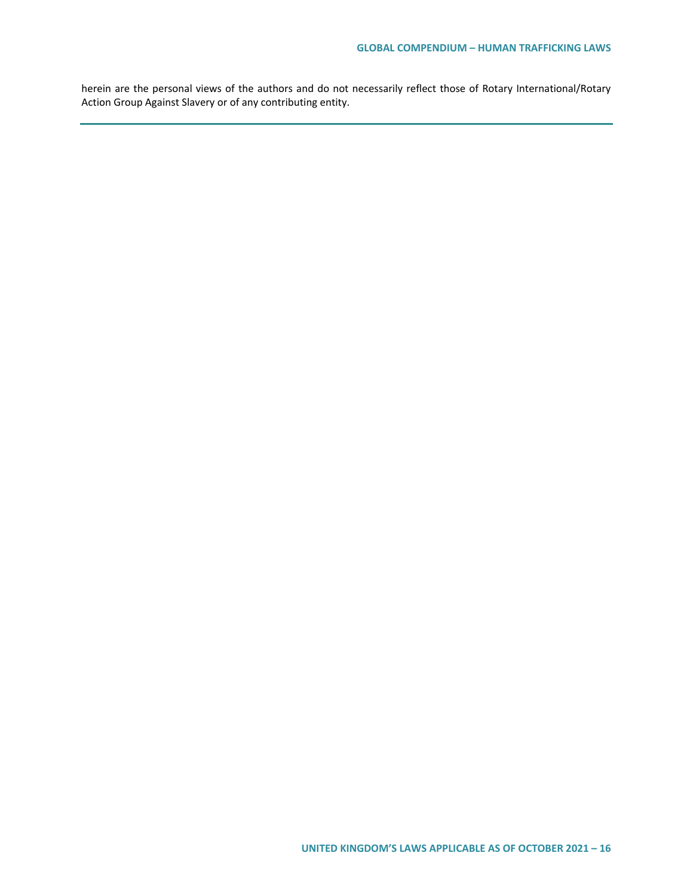herein are the personal views of the authors and do not necessarily reflect those of Rotary International/Rotary Action Group Against Slavery or of any contributing entity.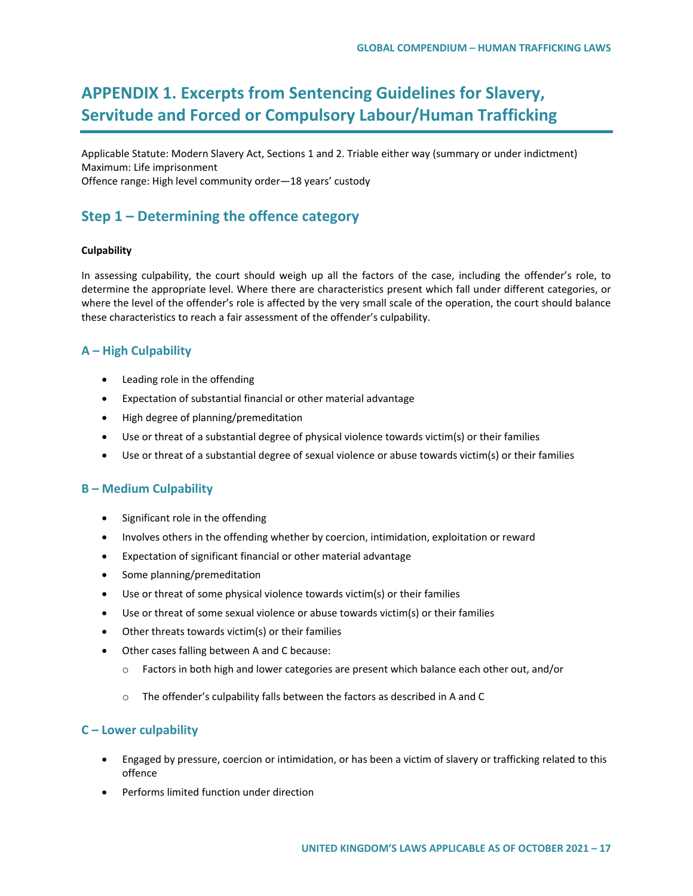# **APPENDIX 1. Excerpts from Sentencing Guidelines for Slavery, Servitude and Forced or Compulsory Labour/Human Trafficking**

Applicable Statute: Modern Slavery Act, Sections 1 and 2. Triable either way (summary or under indictment) Maximum: Life imprisonment Offence range: High level community order—18 years' custody

# **Step 1 – Determining the offence category**

## **Culpability**

In assessing culpability, the court should weigh up all the factors of the case, including the offender's role, to determine the appropriate level. Where there are characteristics present which fall under different categories, or where the level of the offender's role is affected by the very small scale of the operation, the court should balance these characteristics to reach a fair assessment of the offender's culpability.

# **A – High Culpability**

- Leading role in the offending
- Expectation of substantial financial or other material advantage
- High degree of planning/premeditation
- Use or threat of a substantial degree of physical violence towards victim(s) or their families
- Use or threat of a substantial degree of sexual violence or abuse towards victim(s) or their families

## **B – Medium Culpability**

- Significant role in the offending
- Involves others in the offending whether by coercion, intimidation, exploitation or reward
- Expectation of significant financial or other material advantage
- Some planning/premeditation
- Use or threat of some physical violence towards victim(s) or their families
- Use or threat of some sexual violence or abuse towards victim(s) or their families
- Other threats towards victim(s) or their families
- Other cases falling between A and C because:
	- $\circ$  Factors in both high and lower categories are present which balance each other out, and/or
	- o The offender's culpability falls between the factors as described in A and C

# **C – Lower culpability**

- Engaged by pressure, coercion or intimidation, or has been a victim of slavery or trafficking related to this offence
- Performs limited function under direction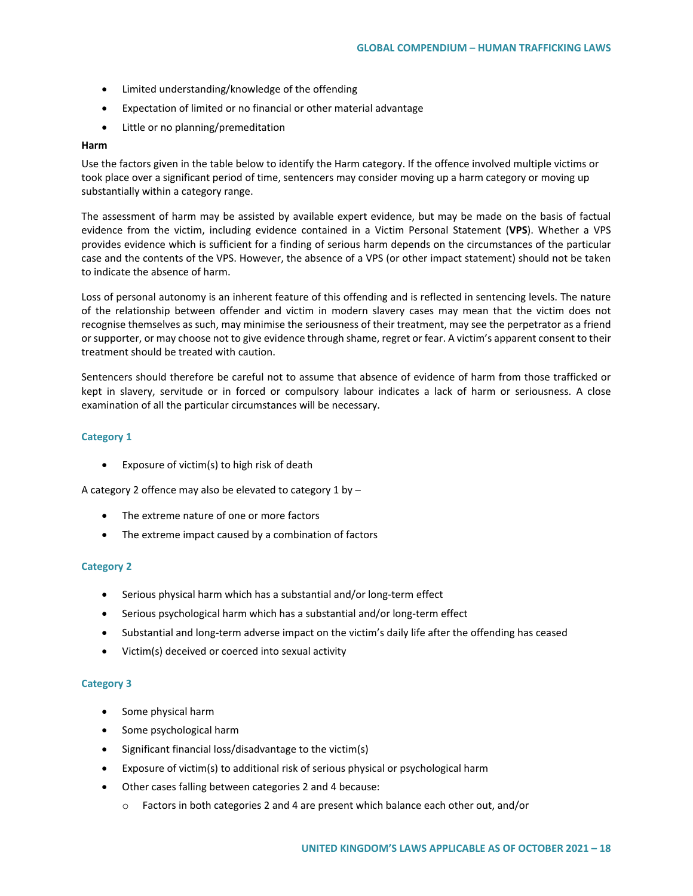- Limited understanding/knowledge of the offending
- Expectation of limited or no financial or other material advantage
- Little or no planning/premeditation

### **Harm**

Use the factors given in the table below to identify the Harm category. If the offence involved multiple victims or took place over a significant period of time, sentencers may consider moving up a harm category or moving up substantially within a category range.

The assessment of harm may be assisted by available expert evidence, but may be made on the basis of factual evidence from the victim, including evidence contained in a Victim Personal Statement (**VPS**). Whether a VPS provides evidence which is sufficient for a finding of serious harm depends on the circumstances of the particular case and the contents of the VPS. However, the absence of a VPS (or other impact statement) should not be taken to indicate the absence of harm.

Loss of personal autonomy is an inherent feature of this offending and is reflected in sentencing levels. The nature of the relationship between offender and victim in modern slavery cases may mean that the victim does not recognise themselves as such, may minimise the seriousness of their treatment, may see the perpetrator as a friend or supporter, or may choose not to give evidence through shame, regret or fear. A victim's apparent consent to their treatment should be treated with caution.

Sentencers should therefore be careful not to assume that absence of evidence of harm from those trafficked or kept in slavery, servitude or in forced or compulsory labour indicates a lack of harm or seriousness. A close examination of all the particular circumstances will be necessary.

### **Category 1**

• Exposure of victim(s) to high risk of death

A category 2 offence may also be elevated to category 1 by –

- The extreme nature of one or more factors
- The extreme impact caused by a combination of factors

### **Category 2**

- Serious physical harm which has a substantial and/or long-term effect
- Serious psychological harm which has a substantial and/or long-term effect
- Substantial and long-term adverse impact on the victim's daily life after the offending has ceased
- Victim(s) deceived or coerced into sexual activity

### **Category 3**

- Some physical harm
- Some psychological harm
- Significant financial loss/disadvantage to the victim(s)
- Exposure of victim(s) to additional risk of serious physical or psychological harm
- Other cases falling between categories 2 and 4 because:
	- $\circ$  Factors in both categories 2 and 4 are present which balance each other out, and/or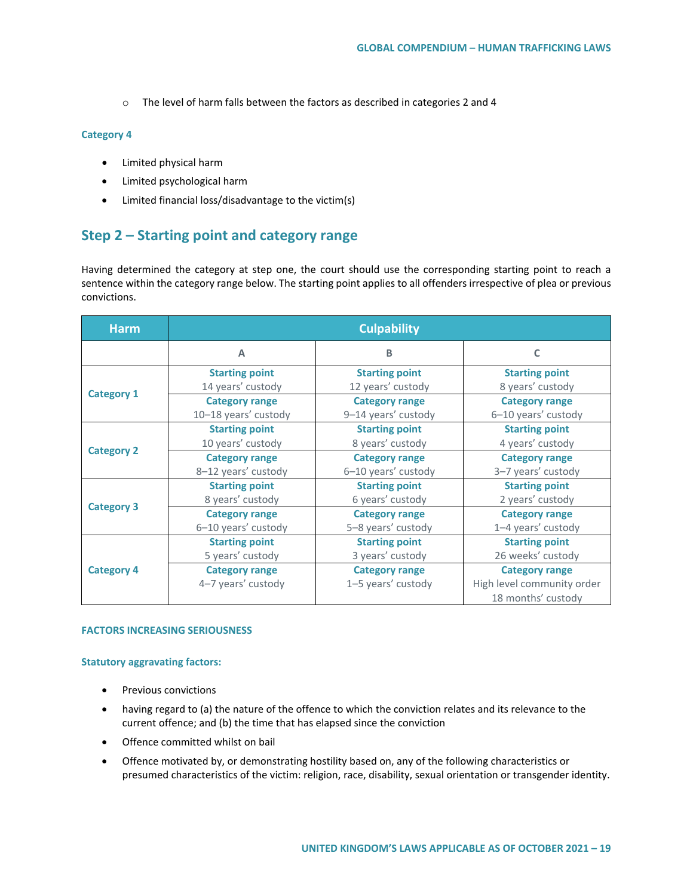o The level of harm falls between the factors as described in categories 2 and 4

### **Category 4**

- Limited physical harm
- Limited psychological harm
- Limited financial loss/disadvantage to the victim(s)

# **Step 2 – Starting point and category range**

Having determined the category at step one, the court should use the corresponding starting point to reach a sentence within the category range below. The starting point applies to all offenders irrespective of plea or previous convictions.

| <b>Harm</b>       | <b>Culpability</b>                            |                                              |                                                                           |  |
|-------------------|-----------------------------------------------|----------------------------------------------|---------------------------------------------------------------------------|--|
|                   | $\overline{A}$                                | B                                            | c                                                                         |  |
| <b>Category 1</b> | <b>Starting point</b><br>14 years' custody    | <b>Starting point</b><br>12 years' custody   | <b>Starting point</b><br>8 years' custody                                 |  |
|                   | <b>Category range</b><br>10-18 years' custody | <b>Category range</b><br>9-14 years' custody | <b>Category range</b><br>6-10 years' custody                              |  |
| <b>Category 2</b> | <b>Starting point</b><br>10 years' custody    | <b>Starting point</b><br>8 years' custody    | <b>Starting point</b><br>4 years' custody                                 |  |
|                   | <b>Category range</b><br>8-12 years' custody  | <b>Category range</b><br>6-10 years' custody | <b>Category range</b><br>3-7 years' custody                               |  |
| <b>Category 3</b> | <b>Starting point</b><br>8 years' custody     | <b>Starting point</b><br>6 years' custody    | <b>Starting point</b><br>2 years' custody                                 |  |
|                   | <b>Category range</b><br>6-10 years' custody  | <b>Category range</b><br>5-8 years' custody  | <b>Category range</b><br>1-4 years' custody                               |  |
| <b>Category 4</b> | <b>Starting point</b><br>5 years' custody     | <b>Starting point</b><br>3 years' custody    | <b>Starting point</b><br>26 weeks' custody                                |  |
|                   | <b>Category range</b><br>4-7 years' custody   | <b>Category range</b><br>1-5 years' custody  | <b>Category range</b><br>High level community order<br>18 months' custody |  |

#### **FACTORS INCREASING SERIOUSNESS**

#### **Statutory aggravating factors:**

- Previous convictions
- having regard to (a) the nature of the offence to which the conviction relates and its relevance to the current offence; and (b) the time that has elapsed since the conviction
- Offence committed whilst on bail
- Offence motivated by, or demonstrating hostility based on, any of the following characteristics or presumed characteristics of the victim: religion, race, disability, sexual orientation or transgender identity.